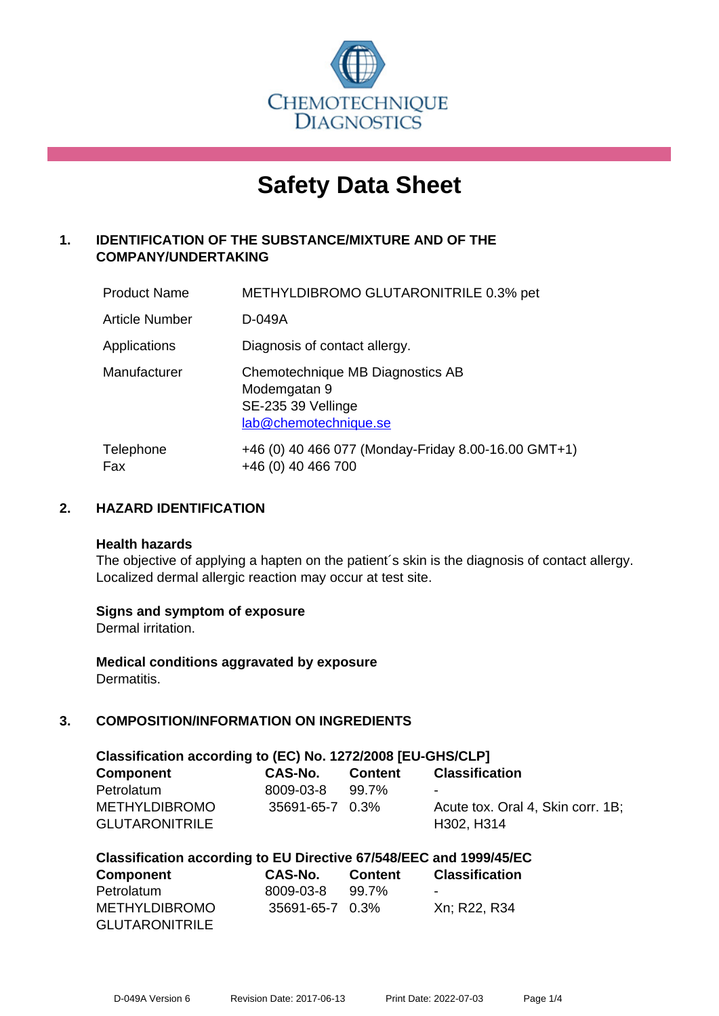

# **Safety Data Sheet**

# **1. IDENTIFICATION OF THE SUBSTANCE/MIXTURE AND OF THE COMPANY/UNDERTAKING**

| <b>Product Name</b>   | METHYLDIBROMO GLUTARONITRILE 0.3% pet                                                           |
|-----------------------|-------------------------------------------------------------------------------------------------|
| <b>Article Number</b> | D-049A                                                                                          |
| Applications          | Diagnosis of contact allergy.                                                                   |
| Manufacturer          | Chemotechnique MB Diagnostics AB<br>Modemgatan 9<br>SE-235 39 Vellinge<br>lab@chemotechnique.se |
| Telephone<br>Fax      | +46 (0) 40 466 077 (Monday-Friday 8.00-16.00 GMT+1)<br>+46 (0) 40 466 700                       |

## **2. HAZARD IDENTIFICATION**

#### **Health hazards**

The objective of applying a hapten on the patient's skin is the diagnosis of contact allergy. Localized dermal allergic reaction may occur at test site.

## **Signs and symptom of exposure**

Dermal irritation.

**Medical conditions aggravated by exposure** Dermatitis.

# **3. COMPOSITION/INFORMATION ON INGREDIENTS**

| Classification according to (EC) No. 1272/2008 [EU-GHS/CLP] |                 |         |                                   |
|-------------------------------------------------------------|-----------------|---------|-----------------------------------|
| <b>Component</b>                                            | CAS-No.         | Content | <b>Classification</b>             |
| Petrolatum                                                  | 8009-03-8       | 99.7%   |                                   |
| <b>METHYLDIBROMO</b>                                        | 35691-65-7 0.3% |         | Acute tox. Oral 4, Skin corr. 1B; |
| <b>GLUTARONITRILE</b>                                       |                 |         | H302, H314                        |

| Classification according to EU Directive 67/548/EEC and 1999/45/EC |  |  |  |
|--------------------------------------------------------------------|--|--|--|
|--------------------------------------------------------------------|--|--|--|

| <b>Component</b>      | CAS-No.         | <b>Content</b> | <b>Classification</b>    |
|-----------------------|-----------------|----------------|--------------------------|
| Petrolatum            | 8009-03-8       | 99.7%          | $\overline{\phantom{0}}$ |
| <b>METHYLDIBROMO</b>  | 35691-65-7 0.3% |                | Xn; R22, R34             |
| <b>GLUTARONITRILE</b> |                 |                |                          |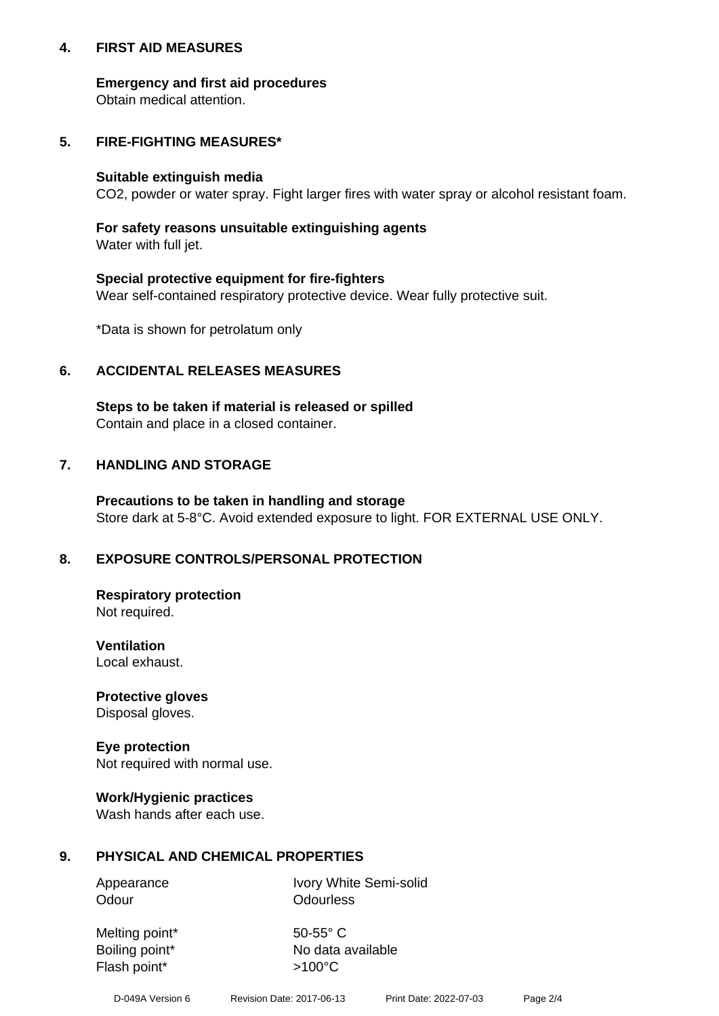## **4. FIRST AID MEASURES**

## **Emergency and first aid procedures**

Obtain medical attention.

# **5. FIRE-FIGHTING MEASURES\***

#### **Suitable extinguish media**

CO2, powder or water spray. Fight larger fires with water spray or alcohol resistant foam.

# **For safety reasons unsuitable extinguishing agents**

Water with full jet.

## **Special protective equipment for fire-fighters**

Wear self-contained respiratory protective device. Wear fully protective suit.

\*Data is shown for petrolatum only

## **6. ACCIDENTAL RELEASES MEASURES**

**Steps to be taken if material is released or spilled** Contain and place in a closed container.

# **7. HANDLING AND STORAGE**

**Precautions to be taken in handling and storage** Store dark at 5-8°C. Avoid extended exposure to light. FOR EXTERNAL USE ONLY.

# **8. EXPOSURE CONTROLS/PERSONAL PROTECTION**

**Respiratory protection** Not required.

**Ventilation** Local exhaust.

**Protective gloves** Disposal gloves.

#### **Eye protection** Not required with normal use.

## **Work/Hygienic practices**

Wash hands after each use.

## **9. PHYSICAL AND CHEMICAL PROPERTIES**

Odour **Odourless** 

Appearance Ivory White Semi-solid

Melting point\* 50-55° C Flash point\*  $>100^{\circ}$ C

Boiling point\* No data available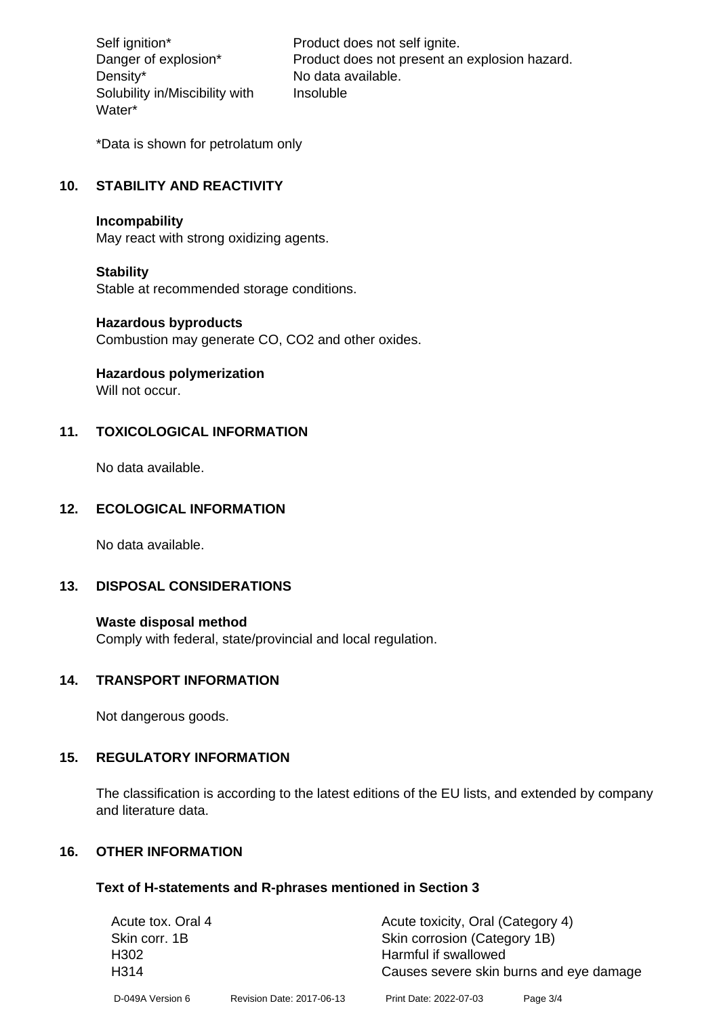Density\* No data available. Solubility in/Miscibility with Water\*

Self ignition\* Product does not self ignite. Danger of explosion\* Product does not present an explosion hazard. Insoluble

\*Data is shown for petrolatum only

# **10. STABILITY AND REACTIVITY**

#### **Incompability**

May react with strong oxidizing agents.

#### **Stability**

Stable at recommended storage conditions.

## **Hazardous byproducts**

Combustion may generate CO, CO2 and other oxides.

**Hazardous polymerization**

Will not occur.

## **11. TOXICOLOGICAL INFORMATION**

No data available.

## **12. ECOLOGICAL INFORMATION**

No data available.

## **13. DISPOSAL CONSIDERATIONS**

#### **Waste disposal method**

Comply with federal, state/provincial and local regulation.

#### **14. TRANSPORT INFORMATION**

Not dangerous goods.

## **15. REGULATORY INFORMATION**

The classification is according to the latest editions of the EU lists, and extended by company and literature data.

#### **16. OTHER INFORMATION**

#### **Text of H-statements and R-phrases mentioned in Section 3**

| Acute tox. Oral 4                               |                           | Acute toxicity, Oral (Category 4) |          |
|-------------------------------------------------|---------------------------|-----------------------------------|----------|
| Skin corrosion (Category 1B)<br>Skin corr. 1B   |                           |                                   |          |
| H <sub>302</sub>                                | Harmful if swallowed      |                                   |          |
| H314<br>Causes severe skin burns and eye damage |                           |                                   |          |
| D-049A Version 6                                | Revision Date: 2017-06-13 | Print Date: 2022-07-03            | Page 3/4 |